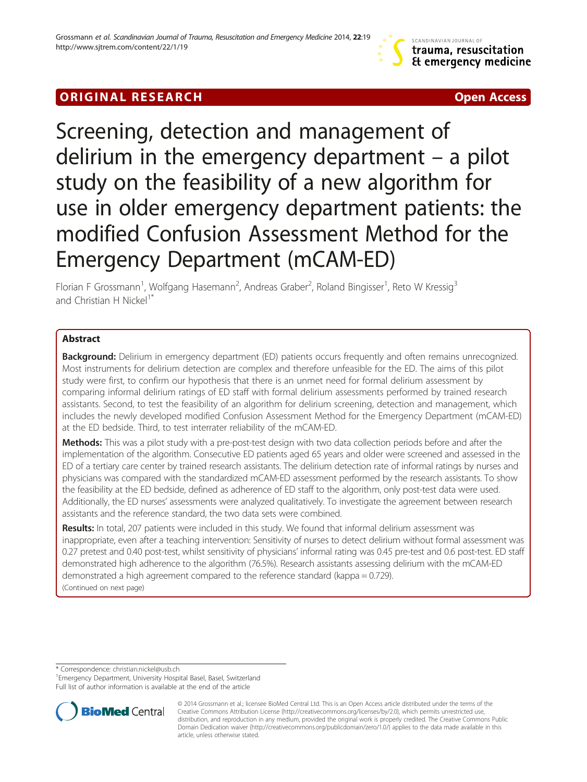# **ORIGINAL RESEARCH CONSUMING A RESEARCH CONSUMING A RESEARCH**



Screening, detection and management of delirium in the emergency department – a pilot study on the feasibility of a new algorithm for use in older emergency department patients: the modified Confusion Assessment Method for the Emergency Department (mCAM-ED)

Florian F Grossmann<sup>1</sup>, Wolfgang Hasemann<sup>2</sup>, Andreas Graber<sup>2</sup>, Roland Bingisser<sup>1</sup>, Reto W Kressig<sup>3</sup> and Christian H Nickel<sup>1\*</sup>

## **Abstract**

**Background:** Delirium in emergency department (ED) patients occurs frequently and often remains unrecognized. Most instruments for delirium detection are complex and therefore unfeasible for the ED. The aims of this pilot study were first, to confirm our hypothesis that there is an unmet need for formal delirium assessment by comparing informal delirium ratings of ED staff with formal delirium assessments performed by trained research assistants. Second, to test the feasibility of an algorithm for delirium screening, detection and management, which includes the newly developed modified Confusion Assessment Method for the Emergency Department (mCAM-ED) at the ED bedside. Third, to test interrater reliability of the mCAM-ED.

Methods: This was a pilot study with a pre-post-test design with two data collection periods before and after the implementation of the algorithm. Consecutive ED patients aged 65 years and older were screened and assessed in the ED of a tertiary care center by trained research assistants. The delirium detection rate of informal ratings by nurses and physicians was compared with the standardized mCAM-ED assessment performed by the research assistants. To show the feasibility at the ED bedside, defined as adherence of ED staff to the algorithm, only post-test data were used. Additionally, the ED nurses' assessments were analyzed qualitatively. To investigate the agreement between research assistants and the reference standard, the two data sets were combined.

Results: In total, 207 patients were included in this study. We found that informal delirium assessment was inappropriate, even after a teaching intervention: Sensitivity of nurses to detect delirium without formal assessment was 0.27 pretest and 0.40 post-test, whilst sensitivity of physicians' informal rating was 0.45 pre-test and 0.6 post-test. ED staff demonstrated high adherence to the algorithm (76.5%). Research assistants assessing delirium with the mCAM-ED demonstrated a high agreement compared to the reference standard (kappa = 0.729). (Continued on next page)

\* Correspondence: [christian.nickel@usb.ch](mailto:christian.nickel@usb.ch) <sup>1</sup>

<sup>1</sup> Emergency Department, University Hospital Basel, Basel, Switzerland Full list of author information is available at the end of the article



<sup>© 2014</sup> Grossmann et al.; licensee BioMed Central Ltd. This is an Open Access article distributed under the terms of the Creative Commons Attribution License (<http://creativecommons.org/licenses/by/2.0>), which permits unrestricted use, distribution, and reproduction in any medium, provided the original work is properly credited. The Creative Commons Public Domain Dedication waiver [\(http://creativecommons.org/publicdomain/zero/1.0/\)](http://creativecommons.org/publicdomain/zero/1.0/) applies to the data made available in this article, unless otherwise stated.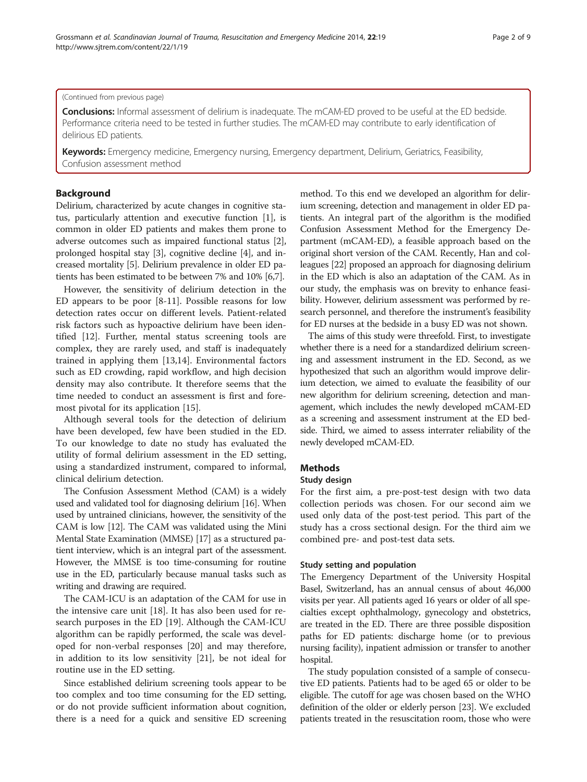#### (Continued from previous page)

Conclusions: Informal assessment of delirium is inadequate. The mCAM-ED proved to be useful at the ED bedside. Performance criteria need to be tested in further studies. The mCAM-ED may contribute to early identification of delirious ED patients.

Keywords: Emergency medicine, Emergency nursing, Emergency department, Delirium, Geriatrics, Feasibility, Confusion assessment method

### Background

Delirium, characterized by acute changes in cognitive status, particularly attention and executive function [[1](#page-7-0)], is common in older ED patients and makes them prone to adverse outcomes such as impaired functional status [[2](#page-7-0)], prolonged hospital stay [\[3](#page-7-0)], cognitive decline [\[4\]](#page-7-0), and increased mortality [[5](#page-7-0)]. Delirium prevalence in older ED patients has been estimated to be between 7% and 10% [[6,7\]](#page-7-0).

However, the sensitivity of delirium detection in the ED appears to be poor [[8-11](#page-7-0)]. Possible reasons for low detection rates occur on different levels. Patient-related risk factors such as hypoactive delirium have been identified [\[12](#page-7-0)]. Further, mental status screening tools are complex, they are rarely used, and staff is inadequately trained in applying them [[13,14\]](#page-7-0). Environmental factors such as ED crowding, rapid workflow, and high decision density may also contribute. It therefore seems that the time needed to conduct an assessment is first and foremost pivotal for its application [[15](#page-7-0)].

Although several tools for the detection of delirium have been developed, few have been studied in the ED. To our knowledge to date no study has evaluated the utility of formal delirium assessment in the ED setting, using a standardized instrument, compared to informal, clinical delirium detection.

The Confusion Assessment Method (CAM) is a widely used and validated tool for diagnosing delirium [[16](#page-7-0)]. When used by untrained clinicians, however, the sensitivity of the CAM is low [\[12\]](#page-7-0). The CAM was validated using the Mini Mental State Examination (MMSE) [[17](#page-7-0)] as a structured patient interview, which is an integral part of the assessment. However, the MMSE is too time-consuming for routine use in the ED, particularly because manual tasks such as writing and drawing are required.

The CAM-ICU is an adaptation of the CAM for use in the intensive care unit [\[18](#page-7-0)]. It has also been used for research purposes in the ED [\[19\]](#page-7-0). Although the CAM-ICU algorithm can be rapidly performed, the scale was developed for non-verbal responses [\[20\]](#page-7-0) and may therefore, in addition to its low sensitivity [[21](#page-7-0)], be not ideal for routine use in the ED setting.

Since established delirium screening tools appear to be too complex and too time consuming for the ED setting, or do not provide sufficient information about cognition, there is a need for a quick and sensitive ED screening method. To this end we developed an algorithm for delirium screening, detection and management in older ED patients. An integral part of the algorithm is the modified Confusion Assessment Method for the Emergency Department (mCAM-ED), a feasible approach based on the original short version of the CAM. Recently, Han and colleagues [\[22\]](#page-7-0) proposed an approach for diagnosing delirium in the ED which is also an adaptation of the CAM. As in our study, the emphasis was on brevity to enhance feasibility. However, delirium assessment was performed by research personnel, and therefore the instrument's feasibility for ED nurses at the bedside in a busy ED was not shown.

The aims of this study were threefold. First, to investigate whether there is a need for a standardized delirium screening and assessment instrument in the ED. Second, as we hypothesized that such an algorithm would improve delirium detection, we aimed to evaluate the feasibility of our new algorithm for delirium screening, detection and management, which includes the newly developed mCAM-ED as a screening and assessment instrument at the ED bedside. Third, we aimed to assess interrater reliability of the newly developed mCAM-ED.

#### **Methods**

### Study design

For the first aim, a pre-post-test design with two data collection periods was chosen. For our second aim we used only data of the post-test period. This part of the study has a cross sectional design. For the third aim we combined pre- and post-test data sets.

#### Study setting and population

The Emergency Department of the University Hospital Basel, Switzerland, has an annual census of about 46,000 visits per year. All patients aged 16 years or older of all specialties except ophthalmology, gynecology and obstetrics, are treated in the ED. There are three possible disposition paths for ED patients: discharge home (or to previous nursing facility), inpatient admission or transfer to another hospital.

The study population consisted of a sample of consecutive ED patients. Patients had to be aged 65 or older to be eligible. The cutoff for age was chosen based on the WHO definition of the older or elderly person [[23](#page-7-0)]. We excluded patients treated in the resuscitation room, those who were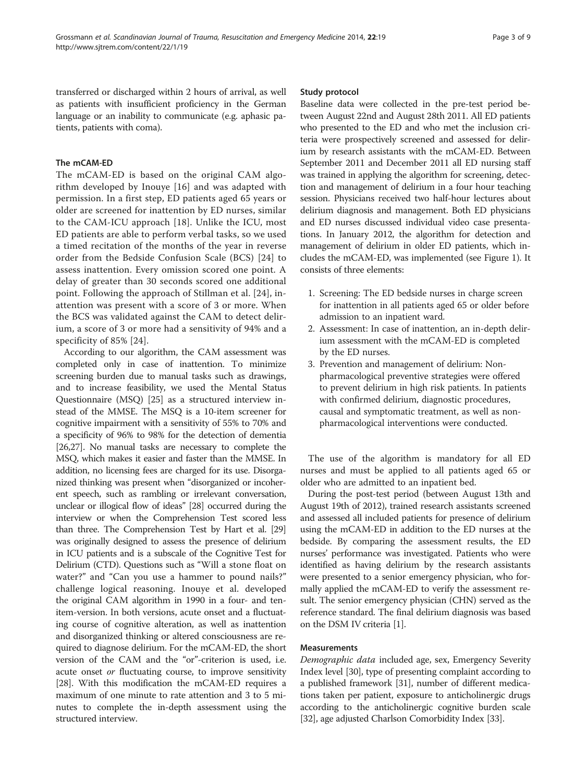transferred or discharged within 2 hours of arrival, as well as patients with insufficient proficiency in the German language or an inability to communicate (e.g. aphasic patients, patients with coma).

### The mCAM-ED

The mCAM-ED is based on the original CAM algorithm developed by Inouye [[16\]](#page-7-0) and was adapted with permission. In a first step, ED patients aged 65 years or older are screened for inattention by ED nurses, similar to the CAM-ICU approach [\[18\]](#page-7-0). Unlike the ICU, most ED patients are able to perform verbal tasks, so we used a timed recitation of the months of the year in reverse order from the Bedside Confusion Scale (BCS) [[24](#page-7-0)] to assess inattention. Every omission scored one point. A delay of greater than 30 seconds scored one additional point. Following the approach of Stillman et al. [\[24](#page-7-0)], inattention was present with a score of 3 or more. When the BCS was validated against the CAM to detect delirium, a score of 3 or more had a sensitivity of 94% and a specificity of 85% [\[24\]](#page-7-0).

According to our algorithm, the CAM assessment was completed only in case of inattention. To minimize screening burden due to manual tasks such as drawings, and to increase feasibility, we used the Mental Status Questionnaire (MSQ) [\[25\]](#page-7-0) as a structured interview instead of the MMSE. The MSQ is a 10-item screener for cognitive impairment with a sensitivity of 55% to 70% and a specificity of 96% to 98% for the detection of dementia [[26,27](#page-7-0)]. No manual tasks are necessary to complete the MSQ, which makes it easier and faster than the MMSE. In addition, no licensing fees are charged for its use. Disorganized thinking was present when "disorganized or incoherent speech, such as rambling or irrelevant conversation, unclear or illogical flow of ideas" [[28](#page-7-0)] occurred during the interview or when the Comprehension Test scored less than three. The Comprehension Test by Hart et al. [\[29](#page-7-0)] was originally designed to assess the presence of delirium in ICU patients and is a subscale of the Cognitive Test for Delirium (CTD). Questions such as "Will a stone float on water?" and "Can you use a hammer to pound nails?" challenge logical reasoning. Inouye et al. developed the original CAM algorithm in 1990 in a four- and tenitem-version. In both versions, acute onset and a fluctuating course of cognitive alteration, as well as inattention and disorganized thinking or altered consciousness are required to diagnose delirium. For the mCAM-ED, the short version of the CAM and the "or"-criterion is used, i.e. acute onset or fluctuating course, to improve sensitivity [[28](#page-7-0)]. With this modification the mCAM-ED requires a maximum of one minute to rate attention and 3 to 5 minutes to complete the in-depth assessment using the structured interview.

#### Study protocol

Baseline data were collected in the pre-test period between August 22nd and August 28th 2011. All ED patients who presented to the ED and who met the inclusion criteria were prospectively screened and assessed for delirium by research assistants with the mCAM-ED. Between September 2011 and December 2011 all ED nursing staff was trained in applying the algorithm for screening, detection and management of delirium in a four hour teaching session. Physicians received two half-hour lectures about delirium diagnosis and management. Both ED physicians and ED nurses discussed individual video case presentations. In January 2012, the algorithm for detection and management of delirium in older ED patients, which includes the mCAM-ED, was implemented (see Figure [1](#page-3-0)). It consists of three elements:

- 1. Screening: The ED bedside nurses in charge screen for inattention in all patients aged 65 or older before admission to an inpatient ward.
- 2. Assessment: In case of inattention, an in-depth delirium assessment with the mCAM-ED is completed by the ED nurses.
- 3. Prevention and management of delirium: Nonpharmacological preventive strategies were offered to prevent delirium in high risk patients. In patients with confirmed delirium, diagnostic procedures, causal and symptomatic treatment, as well as nonpharmacological interventions were conducted.

The use of the algorithm is mandatory for all ED nurses and must be applied to all patients aged 65 or older who are admitted to an inpatient bed.

During the post-test period (between August 13th and August 19th of 2012), trained research assistants screened and assessed all included patients for presence of delirium using the mCAM-ED in addition to the ED nurses at the bedside. By comparing the assessment results, the ED nurses' performance was investigated. Patients who were identified as having delirium by the research assistants were presented to a senior emergency physician, who formally applied the mCAM-ED to verify the assessment result. The senior emergency physician (CHN) served as the reference standard. The final delirium diagnosis was based on the DSM IV criteria [\[1\]](#page-7-0).

### Measurements

Demographic data included age, sex, Emergency Severity Index level [[30\]](#page-7-0), type of presenting complaint according to a published framework [[31](#page-7-0)], number of different medications taken per patient, exposure to anticholinergic drugs according to the anticholinergic cognitive burden scale [[32](#page-7-0)], age adjusted Charlson Comorbidity Index [\[33\]](#page-7-0).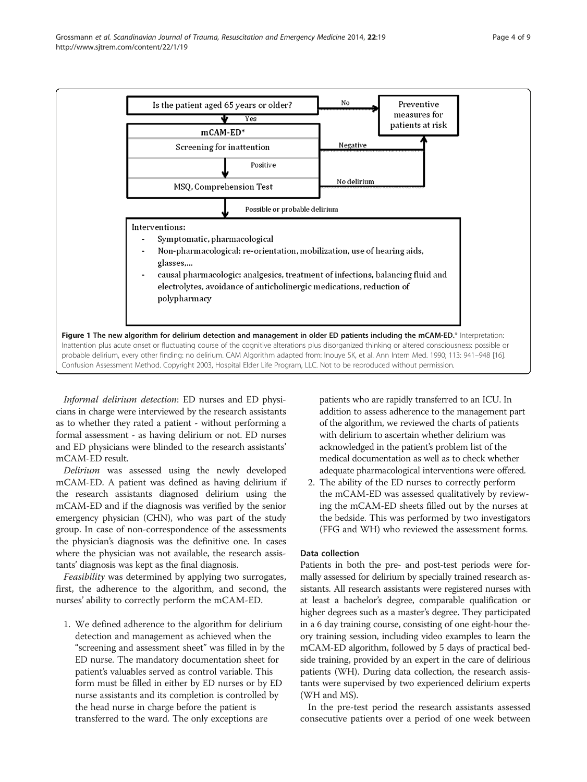Informal delirium detection: ED nurses and ED physicians in charge were interviewed by the research assistants as to whether they rated a patient - without performing a

formal assessment - as having delirium or not. ED nurses and ED physicians were blinded to the research assistants' mCAM-ED result. Delirium was assessed using the newly developed

mCAM-ED. A patient was defined as having delirium if the research assistants diagnosed delirium using the mCAM-ED and if the diagnosis was verified by the senior emergency physician (CHN), who was part of the study group. In case of non-correspondence of the assessments the physician's diagnosis was the definitive one. In cases where the physician was not available, the research assistants' diagnosis was kept as the final diagnosis.

Feasibility was determined by applying two surrogates, first, the adherence to the algorithm, and second, the nurses' ability to correctly perform the mCAM-ED.

1. We defined adherence to the algorithm for delirium detection and management as achieved when the "screening and assessment sheet" was filled in by the ED nurse. The mandatory documentation sheet for patient's valuables served as control variable. This form must be filled in either by ED nurses or by ED nurse assistants and its completion is controlled by the head nurse in charge before the patient is transferred to the ward. The only exceptions are

patients who are rapidly transferred to an ICU. In addition to assess adherence to the management part of the algorithm, we reviewed the charts of patients with delirium to ascertain whether delirium was acknowledged in the patient's problem list of the medical documentation as well as to check whether adequate pharmacological interventions were offered.

2. The ability of the ED nurses to correctly perform the mCAM-ED was assessed qualitatively by reviewing the mCAM-ED sheets filled out by the nurses at the bedside. This was performed by two investigators (FFG and WH) who reviewed the assessment forms.

### Data collection

Patients in both the pre- and post-test periods were formally assessed for delirium by specially trained research assistants. All research assistants were registered nurses with at least a bachelor's degree, comparable qualification or higher degrees such as a master's degree. They participated in a 6 day training course, consisting of one eight-hour theory training session, including video examples to learn the mCAM-ED algorithm, followed by 5 days of practical bedside training, provided by an expert in the care of delirious patients (WH). During data collection, the research assistants were supervised by two experienced delirium experts (WH and MS).

In the pre-test period the research assistants assessed consecutive patients over a period of one week between

<span id="page-3-0"></span>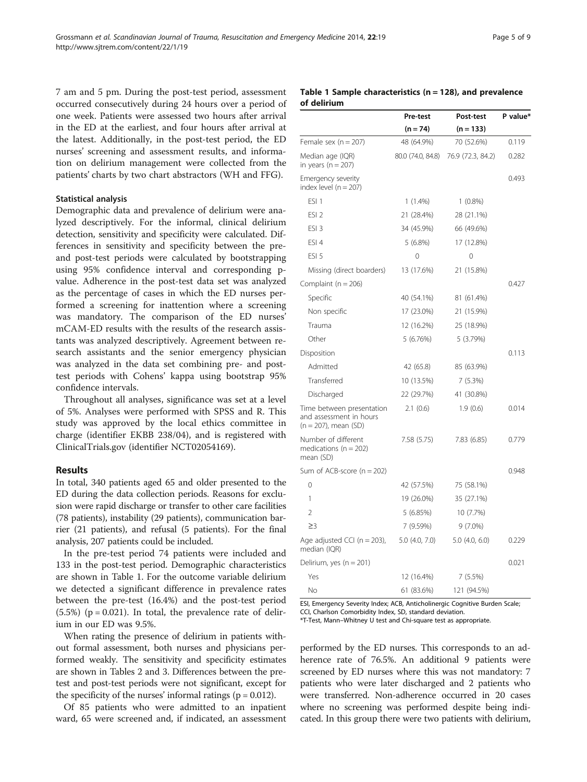7 am and 5 pm. During the post-test period, assessment occurred consecutively during 24 hours over a period of one week. Patients were assessed two hours after arrival in the ED at the earliest, and four hours after arrival at the latest. Additionally, in the post-test period, the ED nurses' screening and assessment results, and information on delirium management were collected from the patients' charts by two chart abstractors (WH and FFG).

### Statistical analysis

Demographic data and prevalence of delirium were analyzed descriptively. For the informal, clinical delirium detection, sensitivity and specificity were calculated. Differences in sensitivity and specificity between the preand post-test periods were calculated by bootstrapping using 95% confidence interval and corresponding pvalue. Adherence in the post-test data set was analyzed as the percentage of cases in which the ED nurses performed a screening for inattention where a screening was mandatory. The comparison of the ED nurses' mCAM-ED results with the results of the research assistants was analyzed descriptively. Agreement between research assistants and the senior emergency physician was analyzed in the data set combining pre- and posttest periods with Cohens' kappa using bootstrap 95% confidence intervals.

Throughout all analyses, significance was set at a level of 5%. Analyses were performed with SPSS and R. This study was approved by the local ethics committee in charge (identifier EKBB 238/04), and is registered with ClinicalTrials.gov (identifier NCT02054169).

### Results

In total, 340 patients aged 65 and older presented to the ED during the data collection periods. Reasons for exclusion were rapid discharge or transfer to other care facilities (78 patients), instability (29 patients), communication barrier (21 patients), and refusal (5 patients). For the final analysis, 207 patients could be included.

In the pre-test period 74 patients were included and 133 in the post-test period. Demographic characteristics are shown in Table 1. For the outcome variable delirium we detected a significant difference in prevalence rates between the pre-test (16.4%) and the post-test period  $(5.5%)$  (p = 0.021). In total, the prevalence rate of delirium in our ED was 9.5%.

When rating the presence of delirium in patients without formal assessment, both nurses and physicians performed weakly. The sensitivity and specificity estimates are shown in Tables [2](#page-5-0) and [3.](#page-5-0) Differences between the pretest and post-test periods were not significant, except for the specificity of the nurses' informal ratings ( $p = 0.012$ ).

Of 85 patients who were admitted to an inpatient ward, 65 were screened and, if indicated, an assessment

### Table 1 Sample characteristics (n = 128), and prevalence of delirium

|                                                                                 | <b>Pre-test</b>   | Post-test         | P value* |
|---------------------------------------------------------------------------------|-------------------|-------------------|----------|
|                                                                                 | $(n = 74)$        | $(n = 133)$       |          |
| Female sex $(n = 207)$                                                          | 48 (64.9%)        | 70 (52.6%)        | 0.119    |
| Median age (IQR)<br>in years ( $n = 207$ )                                      | 80.0 (74.0, 84.8) | 76.9 (72.3, 84.2) | 0.282    |
| Emergency severity<br>index level ( $n = 207$ )                                 |                   |                   | 0.493    |
| ESI <sub>1</sub>                                                                | $1(1.4\%)$        | $1(0.8\%)$        |          |
| ESI <sub>2</sub>                                                                | 21 (28.4%)        | 28 (21.1%)        |          |
| ESI <sub>3</sub>                                                                | 34 (45.9%)        | 66 (49.6%)        |          |
| ESI <sub>4</sub>                                                                | $5(6.8\%)$        | 17 (12.8%)        |          |
| ESI <sub>5</sub>                                                                | $\mathbf 0$       | $\mathbf 0$       |          |
| Missing (direct boarders)                                                       | 13 (17.6%)        | 21 (15.8%)        |          |
| Complaint ( $n = 206$ )                                                         |                   |                   | 0.427    |
| Specific                                                                        | 40 (54.1%)        | 81 (61.4%)        |          |
| Non specific                                                                    | 17 (23.0%)        | 21 (15.9%)        |          |
| Trauma                                                                          | 12 (16.2%)        | 25 (18.9%)        |          |
| Other                                                                           | 5 (6.76%)         | 5 (3.79%)         |          |
| Disposition                                                                     |                   |                   | 0.113    |
| Admitted                                                                        | 42 (65.8)         | 85 (63.9%)        |          |
| Transferred                                                                     | 10 (13.5%)        | 7 (5.3%)          |          |
| Discharged                                                                      | 22 (29.7%)        | 41 (30.8%)        |          |
| Time between presentation<br>and assessment in hours<br>$(n = 207)$ , mean (SD) | 2.1(0.6)          | 1.9(0.6)          | 0.014    |
| Number of different<br>medications ( $n = 202$ )<br>mean (SD)                   | 7.58 (5.75)       | 7.83 (6.85)       | 0.779    |
| Sum of ACB-score ( $n = 202$ )                                                  |                   |                   | 0.948    |
| 0                                                                               | 42 (57.5%)        | 75 (58.1%)        |          |
| 1                                                                               | 19 (26.0%)        | 35 (27.1%)        |          |
| $\overline{\phantom{a}}$                                                        | 5 (6.85%)         | 10 (7.7%)         |          |
| $\geq$ 3                                                                        | 7 (9.59%)         | $9(7.0\%)$        |          |
| Age adjusted CCI ( $n = 203$ ),<br>median (IQR)                                 | $5.0$ (4.0, 7.0)  | $5.0$ (4.0, 6.0)  | 0.229    |
| Delirium, yes (n = 201)                                                         |                   |                   | 0.021    |
| Yes                                                                             | 12 (16.4%)        | 7(5.5%)           |          |
| No                                                                              | 61 (83.6%)        | 121 (94.5%)       |          |

ESI, Emergency Severity Index; ACB, Anticholinergic Cognitive Burden Scale; CCI, Charlson Comorbidity Index, SD, standard deviation.

\*T-Test, Mann–Whitney U test and Chi-square test as appropriate.

performed by the ED nurses. This corresponds to an adherence rate of 76.5%. An additional 9 patients were screened by ED nurses where this was not mandatory: 7 patients who were later discharged and 2 patients who were transferred. Non-adherence occurred in 20 cases where no screening was performed despite being indicated. In this group there were two patients with delirium,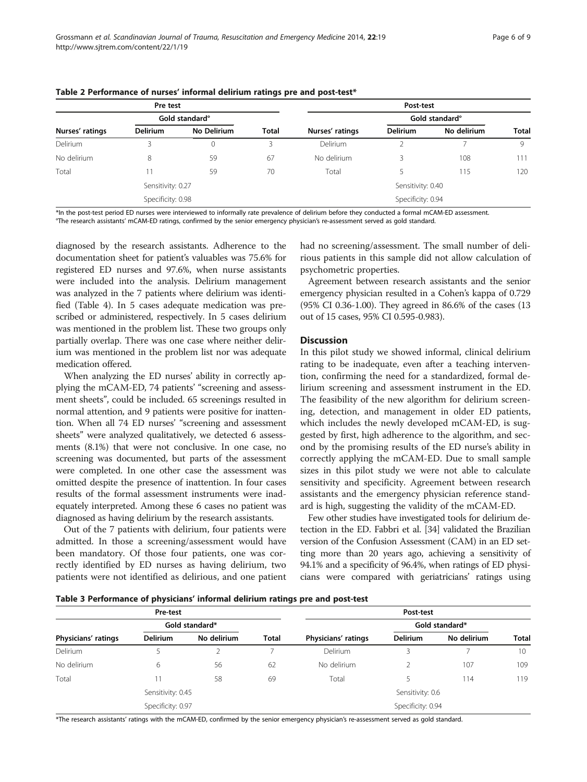|                 | Pre test          |                            |       | Post-test       |                   |                            |              |
|-----------------|-------------------|----------------------------|-------|-----------------|-------------------|----------------------------|--------------|
|                 |                   | Gold standard <sup>o</sup> |       |                 |                   | Gold standard <sup>o</sup> |              |
| Nurses' ratings | <b>Delirium</b>   | No Delirium                | Total | Nurses' ratings | <b>Delirium</b>   | No delirium                | <b>Total</b> |
| <b>Delirium</b> | 5                 | $\mathbf{0}$               | 3     | <b>Delirium</b> |                   |                            | Q            |
| No delirium     | 8                 | 59                         | 67    | No delirium     | 3                 | 108                        | 111          |
| Total           |                   | 59                         | 70    | Total           | 5                 | 115                        | 120          |
|                 | Sensitivity: 0.27 |                            |       |                 | Sensitivity: 0.40 |                            |              |
|                 | Specificity: 0.98 |                            |       |                 | Specificity: 0.94 |                            |              |

<span id="page-5-0"></span>Table 2 Performance of nurses' informal delirium ratings pre and post-test\*

\*In the post-test period ED nurses were interviewed to informally rate prevalence of delirium before they conducted a formal mCAM-ED assessment. °The research assistants' mCAM-ED ratings, confirmed by the senior emergency physician's re-assessment served as gold standard.

diagnosed by the research assistants. Adherence to the documentation sheet for patient's valuables was 75.6% for registered ED nurses and 97.6%, when nurse assistants were included into the analysis. Delirium management was analyzed in the 7 patients where delirium was identified (Table [4\)](#page-6-0). In 5 cases adequate medication was prescribed or administered, respectively. In 5 cases delirium was mentioned in the problem list. These two groups only partially overlap. There was one case where neither delirium was mentioned in the problem list nor was adequate medication offered.

When analyzing the ED nurses' ability in correctly applying the mCAM-ED, 74 patients' "screening and assessment sheets", could be included. 65 screenings resulted in normal attention, and 9 patients were positive for inattention. When all 74 ED nurses' "screening and assessment sheets" were analyzed qualitatively, we detected 6 assessments (8.1%) that were not conclusive. In one case, no screening was documented, but parts of the assessment were completed. In one other case the assessment was omitted despite the presence of inattention. In four cases results of the formal assessment instruments were inadequately interpreted. Among these 6 cases no patient was diagnosed as having delirium by the research assistants.

Out of the 7 patients with delirium, four patients were admitted. In those a screening/assessment would have been mandatory. Of those four patients, one was correctly identified by ED nurses as having delirium, two patients were not identified as delirious, and one patient had no screening/assessment. The small number of delirious patients in this sample did not allow calculation of psychometric properties.

Agreement between research assistants and the senior emergency physician resulted in a Cohen's kappa of 0.729 (95% CI 0.36-1.00). They agreed in 86.6% of the cases (13 out of 15 cases, 95% CI 0.595-0.983).

### **Discussion**

In this pilot study we showed informal, clinical delirium rating to be inadequate, even after a teaching intervention, confirming the need for a standardized, formal delirium screening and assessment instrument in the ED. The feasibility of the new algorithm for delirium screening, detection, and management in older ED patients, which includes the newly developed mCAM-ED, is suggested by first, high adherence to the algorithm, and second by the promising results of the ED nurse's ability in correctly applying the mCAM-ED. Due to small sample sizes in this pilot study we were not able to calculate sensitivity and specificity. Agreement between research assistants and the emergency physician reference standard is high, suggesting the validity of the mCAM-ED.

Few other studies have investigated tools for delirium detection in the ED. Fabbri et al. [\[34](#page-7-0)] validated the Brazilian version of the Confusion Assessment (CAM) in an ED setting more than 20 years ago, achieving a sensitivity of 94.1% and a specificity of 96.4%, when ratings of ED physicians were compared with geriatricians' ratings using

Table 3 Performance of physicians' informal delirium ratings pre and post-test

| Pre-test            |                   |                |              | Post-test           |                   |                |                 |
|---------------------|-------------------|----------------|--------------|---------------------|-------------------|----------------|-----------------|
|                     |                   | Gold standard* |              |                     |                   | Gold standard* |                 |
| Physicians' ratings | <b>Delirium</b>   | No delirium    | <b>Total</b> | Physicians' ratings | <b>Delirium</b>   | No delirium    | <b>Total</b>    |
| Delirium            |                   |                |              | Delirium            |                   |                | 10 <sup>°</sup> |
| No delirium         | 6                 | 56             | 62           | No delirium         |                   | 107            | 109             |
| Total               | 11                | 58             | 69           | Total               |                   | 114            | 119             |
|                     | Sensitivity: 0.45 |                |              |                     | Sensitivity: 0.6  |                |                 |
|                     | Specificity: 0.97 |                |              |                     | Specificity: 0.94 |                |                 |

\*The research assistants' ratings with the mCAM-ED, confirmed by the senior emergency physician's re-assessment served as gold standard.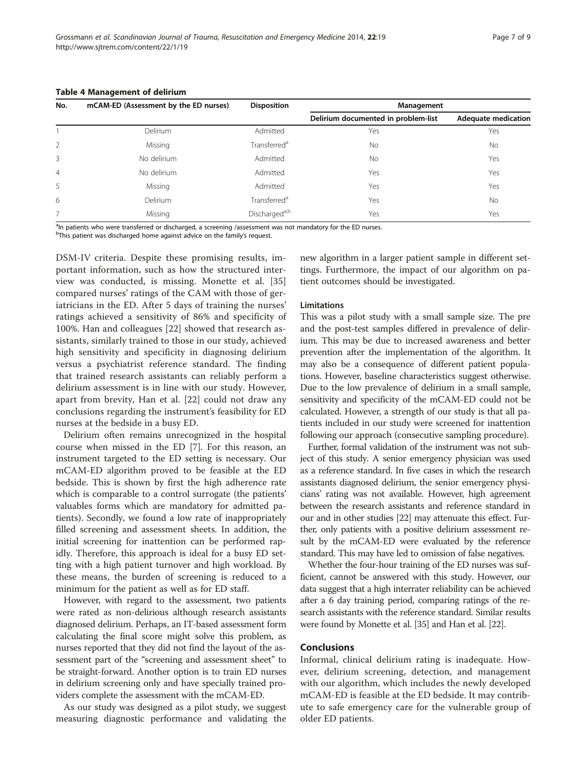| No.            | mCAM-ED (Assessment by the ED nurses) | <b>Disposition</b>        | Management                          |                            |  |
|----------------|---------------------------------------|---------------------------|-------------------------------------|----------------------------|--|
|                |                                       |                           | Delirium documented in problem-list | <b>Adequate medication</b> |  |
|                | <b>Delirium</b>                       | Admitted                  | Yes                                 | Yes                        |  |
| 2              | Missing                               | Transferred <sup>a</sup>  | No.                                 | <b>No</b>                  |  |
| 3              | No delirium                           | Admitted                  | No.                                 | Yes                        |  |
| $\overline{4}$ | No delirium                           | Admitted                  | Yes                                 | Yes                        |  |
| 5              | Missing                               | Admitted                  | Yes                                 | Yes                        |  |
| 6              | <b>Delirium</b>                       | Transferred <sup>a</sup>  | Yes                                 | <b>No</b>                  |  |
| 7              | Missing                               | Discharged <sup>a,b</sup> | Yes                                 | Yes                        |  |

#### <span id="page-6-0"></span>Table 4 Management of delirium

<sup>a</sup>In patients who were transferred or discharged, a screening /assessment was not mandatory for the ED nurses.

<sup>b</sup>This patient was discharged home against advice on the family's request.

DSM-IV criteria. Despite these promising results, important information, such as how the structured interview was conducted, is missing. Monette et al. [\[35](#page-8-0)] compared nurses' ratings of the CAM with those of geriatricians in the ED. After 5 days of training the nurses' ratings achieved a sensitivity of 86% and specificity of 100%. Han and colleagues [\[22](#page-7-0)] showed that research assistants, similarly trained to those in our study, achieved high sensitivity and specificity in diagnosing delirium versus a psychiatrist reference standard. The finding that trained research assistants can reliably perform a delirium assessment is in line with our study. However, apart from brevity, Han et al. [[22](#page-7-0)] could not draw any conclusions regarding the instrument's feasibility for ED nurses at the bedside in a busy ED.

Delirium often remains unrecognized in the hospital course when missed in the ED [[7\]](#page-7-0). For this reason, an instrument targeted to the ED setting is necessary. Our mCAM-ED algorithm proved to be feasible at the ED bedside. This is shown by first the high adherence rate which is comparable to a control surrogate (the patients' valuables forms which are mandatory for admitted patients). Secondly, we found a low rate of inappropriately filled screening and assessment sheets. In addition, the initial screening for inattention can be performed rapidly. Therefore, this approach is ideal for a busy ED setting with a high patient turnover and high workload. By these means, the burden of screening is reduced to a minimum for the patient as well as for ED staff.

However, with regard to the assessment, two patients were rated as non-delirious although research assistants diagnosed delirium. Perhaps, an IT-based assessment form calculating the final score might solve this problem, as nurses reported that they did not find the layout of the assessment part of the "screening and assessment sheet" to be straight-forward. Another option is to train ED nurses in delirium screening only and have specially trained providers complete the assessment with the mCAM-ED.

As our study was designed as a pilot study, we suggest measuring diagnostic performance and validating the new algorithm in a larger patient sample in different settings. Furthermore, the impact of our algorithm on patient outcomes should be investigated.

### Limitations

This was a pilot study with a small sample size. The pre and the post-test samples differed in prevalence of delirium. This may be due to increased awareness and better prevention after the implementation of the algorithm. It may also be a consequence of different patient populations. However, baseline characteristics suggest otherwise. Due to the low prevalence of delirium in a small sample, sensitivity and specificity of the mCAM-ED could not be calculated. However, a strength of our study is that all patients included in our study were screened for inattention following our approach (consecutive sampling procedure).

Further, formal validation of the instrument was not subject of this study. A senior emergency physician was used as a reference standard. In five cases in which the research assistants diagnosed delirium, the senior emergency physicians' rating was not available. However, high agreement between the research assistants and reference standard in our and in other studies [\[22\]](#page-7-0) may attenuate this effect. Further, only patients with a positive delirium assessment result by the mCAM-ED were evaluated by the reference standard. This may have led to omission of false negatives.

Whether the four-hour training of the ED nurses was sufficient, cannot be answered with this study. However, our data suggest that a high interrater reliability can be achieved after a 6 day training period, comparing ratings of the research assistants with the reference standard. Similar results were found by Monette et al. [\[35\]](#page-8-0) and Han et al. [\[22](#page-7-0)].

### **Conclusions**

Informal, clinical delirium rating is inadequate. However, delirium screening, detection, and management with our algorithm, which includes the newly developed mCAM-ED is feasible at the ED bedside. It may contribute to safe emergency care for the vulnerable group of older ED patients.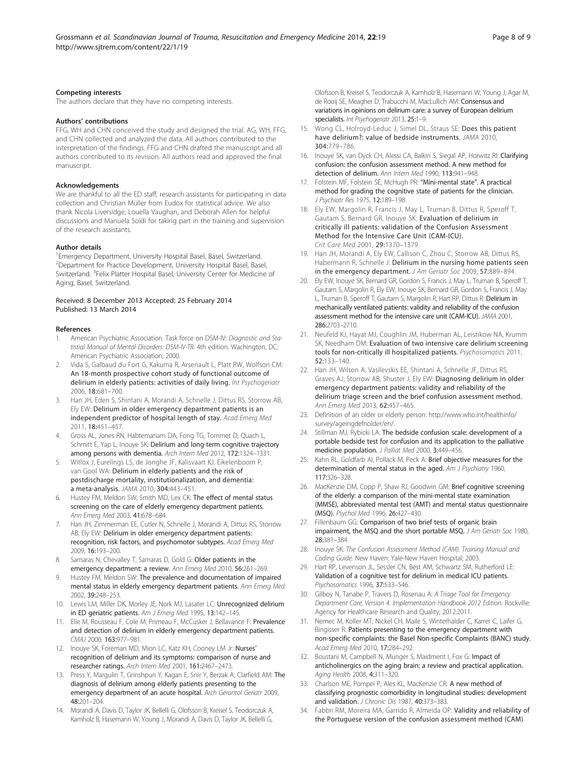#### <span id="page-7-0"></span>Competing interests

The authors declare that they have no competing interests.

#### Authors' contributions

FFG, WH and CHN conceived the study and designed the trial. AG, WH, FFG, and CHN collected and analyzed the data. All authors contributed to the interpretation of the findings. FFG and CHN drafted the manuscript and all authors contributed to its revision. All authors read and approved the final manuscript.

#### Acknowledgements

We are thankful to all the ED staff, research assistants for participating in data collection and Christian Müller from Eudox for statistical advice. We also thank Nicola Liversidge, Louella Vaughan, and Deborah Allen for helpful discussions and Manuela Soldi for taking part in the training and supervision of the research assistants.

#### Author details

<sup>1</sup> Emergency Department, University Hospital Basel, Basel, Switzerland. 2 Department for Practice Development, University Hospital Basel, Basel, Switzerland. <sup>3</sup>Felix Platter Hospital Basel, University Center for Medicine of Aging, Basel, Switzerland.

#### Received: 8 December 2013 Accepted: 25 February 2014 Published: 13 March 2014

#### References

- American Psychiatric Association. Task force on DSM-IV: Diagnostic and Statistial Manual of Mental Disorders: DSM-IV-TR. 4th edition. Wachington, DC: American Psychiatric Association; 2000.
- 2. Vida S, Galbaud du Fort G, Kakuma R, Arsenault L, Platt RW, Wolfson CM: An 18-month prospective cohort study of functional outcome of delirium in elderly patients: activities of daily living. Int Psychogeriatr 2006, 18:681–700.
- 3. Han JH, Eden S, Shintani A, Morandi A, Schnelle J, Dittus RS, Storrow AB, Ely EW: Delirium in older emergency department patients is an independent predictor of hospital length of stay. Acad Emerg Med 2011, 18:451–457.
- 4. Gross AL, Jones RN, Habtemariam DA, Fong TG, Tommet D, Quach L, Schmitt E, Yap L, Inouye SK: Delirium and long-term cognitive trajectory among persons with dementia. Arch Intern Med 2012, 172:1324–1331.
- 5. Witlox J, Eurelings LS, de Jonghe JF, Kalisvaart KJ, Eikelenboom P, van Gool WA: Delirium in elderly patients and the risk of postdischarge mortality, institutionalization, and dementia: a meta-analysis. JAMA 2010, 304:443–451.
- 6. Hustey FM, Meldon SW, Smith MD, Lex CK: The effect of mental status screening on the care of elderly emergency department patients. Ann Emerg Med 2003, 41:678–684.
- 7. Han JH, Zimmerman EE, Cutler N, Schnelle J, Morandi A, Dittus RS, Storrow AB, Ely EW: Delirium in older emergency department patients: recognition, risk factors, and psychomotor subtypes. Acad Emerg Med 2009, 16:193–200.
- 8. Samaras N, Chevalley T, Samaras D, Gold G: Older patients in the emergency department: a review. Ann Emerg Med 2010, 56:261–269.
- 9. Hustey FM, Meldon SW: The prevalence and documentation of impaired mental status in elderly emergency department patients. Ann Emerg Med 2002, 39:248–253.
- 10. Lewis LM, Miller DK, Morley JE, Nork MJ, Lasater LC: Unrecognized delirium in ED geriatric patients. Am J Emerg Med 1995, 13:142–145.
- 11. Elie M, Rousseau F, Cole M, Primeau F, McCusker J, Bellavance F: Prevalence and detection of delirium in elderly emergency department patients. CMAJ 2000, 163:977–981.
- 12. Inouye SK, Foreman MD, Mion LC, Katz KH, Cooney LM Jr: Nurses' recognition of delirium and its symptoms: comparison of nurse and researcher ratings. Arch Intern Med 2001, 161:2467–2473.
- 13. Press Y, Margulin T, Grinshpun Y, Kagan E, Snir Y, Berzak A, Clarfield AM: The diagnosis of delirium among elderly patients presenting to the emergency department of an acute hospital. Arch Gerontol Geriatr 2009, 48:201–204.
- 14. Morandi A, Davis D, Taylor JK, Bellelli G, Olofsson B, Kreisel S, Teodorczuk A, Kamholz B, Hasemann W, Young J, Morandi A, Davis D, Taylor JK, Bellelli G,

Olofsson B, Kreisel S, Teodorczuk A, Kamholz B, Hasemann W, Young J, Agar M, de Rooij SE, Meagher D, Trabucchi M, MacLullich AM: Consensus and variations in opinions on delirium care: a survey of European delirium specialists. Int Psychogeriatr 2013, 25:1-9.

- 15. Wong CL, Holroyd-Leduc J, Simel DL, Straus SE: Does this patient have delirium?: value of bedside instruments. JAMA 2010, 304:779–786.
- 16. Inouye SK, van Dyck CH, Alessi CA, Balkin S, Siegal AP, Horwitz RI: Clarifying confusion: the confusion assessment method. A new method for detection of delirium. Ann Intern Med 1990, 113:941–948.
- 17. Folstein MF, Folstein SE, McHugh PR: "Mini-mental state". A practical method for grading the cognitive state of patients for the clinician. J Psychiatr Res 1975, 12:189–198.
- 18. Ely EW, Margolin R, Francis J, May L, Truman B, Dittus R, Speroff T, Gautam S, Bernard GR, Inouye SK: Evaluation of delirium in critically ill patients: validation of the Confusion Assessment Method for the Intensive Care Unit (CAM-ICU). Crit Care Med 2001, 29:1370–1379.
- 19. Han JH, Morandi A, Ely EW, Callison C, Zhou C, Storrow AB, Dittus RS, Habermann R, Schnelle J: Delirium in the nursing home patients seen in the emergency department. J Am Geriatr Soc 2009, 57:889–894.
- 20. Ely EW, Inouye SK, Bernard GR, Gordon S, Francis J, May L, Truman B, Speroff T, Gautam S, Margolin R, Ely EW, Inouye SK, Bernard GR, Gordon S, Francis J, May L, Truman B, Speroff T, Gautam S, Margolin R, Hart RP, Dittus R: Delirium in mechanically ventilated patients: validity and reliability of the confusion assessment method for the intensive care unit (CAM-ICU). JAMA 2001, 286:2703–2710.
- 21. Neufeld KJ, Hayat MJ, Coughlin JM, Huberman AL, Leistikow NA, Krumm SK, Needham DM: Evaluation of two intensive care delirium screening tools for non-critically ill hospitalized patients. Psychosomatics 2011, 52:133–140.
- 22. Han JH, Wilson A, Vasilevskis EE, Shintani A, Schnelle JF, Dittus RS, Graves AJ, Storrow AB, Shuster J, Ely EW: Diagnosing delirium in older emergency department patients: validity and reliability of the delirium triage screen and the brief confusion assessment method. Ann Emerg Med 2013, 62:457-465.
- 23. Definition of an older or elderly person: [http://www.who.int/healthinfo/](http://www.who.int/healthinfo/survey/ageingdefnolder/en/) [survey/ageingdefnolder/en/](http://www.who.int/healthinfo/survey/ageingdefnolder/en/).
- 24. Stillman MJ, Rybicki LA: The bedside confusion scale: development of a portable bedside test for confusion and its application to the palliative medicine population. J Palliat Med 2000, 3:449–456.
- 25. Kahn RL, Goldfarb AI, Pollack M, Peck A: Brief objective measures for the determination of mental status in the aged. Am J Psychiatry 1960, 117:326–328.
- 26. MacKenzie DM, Copp P, Shaw RJ, Goodwin GM: Brief cognitive screening of the elderly: a comparison of the mini-mental state examination (MMSE), abbreviated mental test (AMT) and mental status questionnaire (MSQ). Psychol Med 1996, 26:427–430.
- 27. Fillenbaum GG: Comparison of two brief tests of organic brain impairment, the MSQ and the short portable MSQ. J Am Geriatr Soc 1980, 28:381–384.
- 28. Inouye SK: The Confusion Assessment Method (CAM). Training Manual and Coding Guide. New Haven: Yale-New Haven Hospital; 2003.
- 29. Hart RP, Levenson JL, Sessler CN, Best AM, Schwartz SM, Rutherford LE: Validation of a cognitive test for delirium in medical ICU patients. Psychosomatics 1996, 37:533–546.
- 30. Gilboy N, Tanabe P, Travers D, Rosenau A: A Triage Tool for Emergency Department Care, Version 4. Implementation Handbook 2012 Edition. Rockville: Agency for Healthcare Research and Quality; 2012:2011.
- 31. Nemec M, Koller MT, Nickel CH, Maile S, Winterhalder C, Karrer C, Laifer G, Bingisser R: Patients presenting to the emergency department with non-specific complaints: the Basel Non-specific Complaints (BANC) study. Acad Emerg Med 2010, 17:284–292.
- 32. Boustani M, Campbell N, Munger S, Maidment I, Fox G: Impact of anticholinergics on the aging brain: a review and practical application. Aging Health 2008, 4:311–320.
- 33. Charlson ME, Pompei P, Ales KL, MacKenzie CR: A new method of classifying prognostic comorbidity in longitudinal studies: development and validation. J Chronic Dis 1987, 40:373–383.
- 34. Fabbri RM, Moreira MA, Garrido R, Almeida OP: Validity and reliability of the Portuguese version of the confusion assessment method (CAM)